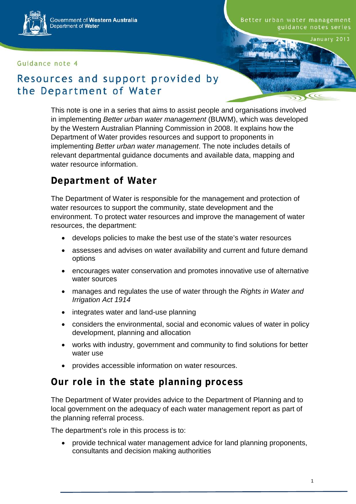Government of Western Australia Department of Water

#### Guidance note 4

#### Better urban water management guidance notes series

January 2013

## Resources and support provided by the Department of Water

This note is one in a series that aims to assist people and organisations involved in implementing *Better urban water management* (BUWM), which was developed by the Western Australian Planning Commission in 2008. It explains how the Department of Water provides resources and support to proponents in implementing *Better urban water management*. The note includes details of relevant departmental guidance documents and available data, mapping and water resource information.

## **Department of Water**

The Department of Water is responsible for the management and protection of water resources to support the community, state development and the environment. To protect water resources and improve the management of water resources, the department:

- develops policies to make the best use of the state's water resources
- assesses and advises on water availability and current and future demand options
- encourages water conservation and promotes innovative use of alternative water sources
- manages and regulates the use of water through the *Rights in Water and Irrigation Act 1914*
- integrates water and land-use planning
- considers the environmental, social and economic values of water in policy development, planning and allocation
- works with industry, government and community to find solutions for better water use
- provides accessible information on water resources.

## **Our role in the state planning process**

The Department of Water provides advice to the Department of Planning and to local government on the adequacy of each water management report as part of the planning referral process.

The department's role in this process is to:

• provide technical water management advice for land planning proponents, consultants and decision making authorities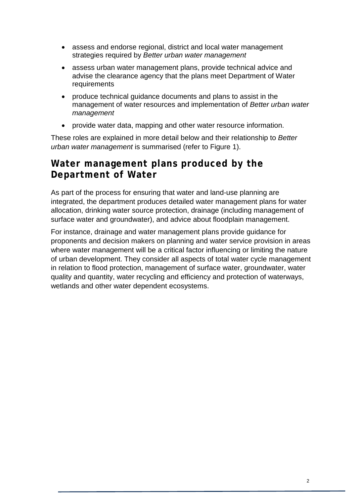- assess and endorse regional, district and local water management strategies required by *Better urban water management*
- assess urban water management plans, provide technical advice and advise the clearance agency that the plans meet Department of Water requirements
- produce technical guidance documents and plans to assist in the management of water resources and implementation of *Better urban water management*
- provide water data, mapping and other water resource information.

These roles are explained in more detail below and their relationship to *Better urban water management* is summarised (refer to Figure 1).

#### **Water management plans produced by the Department of Water**

As part of the process for ensuring that water and land-use planning are integrated, the department produces detailed water management plans for water allocation, drinking water source protection, drainage (including management of surface water and groundwater), and advice about floodplain management.

For instance, drainage and water management plans provide guidance for proponents and decision makers on planning and water service provision in areas where water management will be a critical factor influencing or limiting the nature of urban development. They consider all aspects of total water cycle management in relation to flood protection, management of surface water, groundwater, water quality and quantity, water recycling and efficiency and protection of waterways, wetlands and other water dependent ecosystems.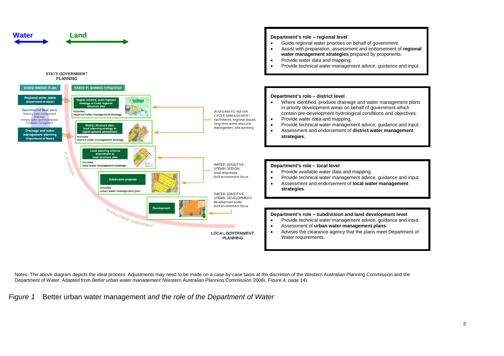

Notes: The above diagram depicts the ideal process. Adjustments may need to be made on a case-by-case basis at the discretion of the Western Australian Planning Commission and the Department of Water. Adapted from *Better urban water management* (Western Australian Planning Commission 2008), Figure 4, page 14).

*Figure 1* Better urban water management *and the role of the Department of Water*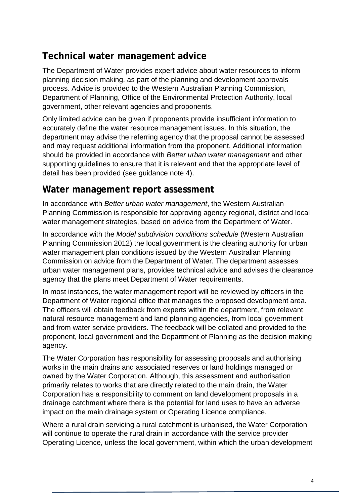# **Technical water management advice**

The Department of Water provides expert advice about water resources to inform planning decision making, as part of the planning and development approvals process. Advice is provided to the Western Australian Planning Commission, Department of Planning, Office of the Environmental Protection Authority, local government, other relevant agencies and proponents.

Only limited advice can be given if proponents provide insufficient information to accurately define the water resource management issues. In this situation, the department may advise the referring agency that the proposal cannot be assessed and may request additional information from the proponent. Additional information should be provided in accordance with *Better urban water management* and other supporting guidelines to ensure that it is relevant and that the appropriate level of detail has been provided (see guidance note 4).

#### **Water management report assessment**

In accordance with *Better urban water management*, the Western Australian Planning Commission is responsible for approving agency regional, district and local water management strategies, based on advice from the Department of Water.

In accordance with the *Model subdivision conditions schedule* (Western Australian Planning Commission 2012) the local government is the clearing authority for urban water management plan conditions issued by the Western Australian Planning Commission on advice from the Department of Water. The department assesses urban water management plans, provides technical advice and advises the clearance agency that the plans meet Department of Water requirements.

In most instances, the water management report will be reviewed by officers in the Department of Water regional office that manages the proposed development area. The officers will obtain feedback from experts within the department, from relevant natural resource management and land planning agencies, from local government and from water service providers. The feedback will be collated and provided to the proponent, local government and the Department of Planning as the decision making agency.

The Water Corporation has responsibility for assessing proposals and authorising works in the main drains and associated reserves or land holdings managed or owned by the Water Corporation. Although, this assessment and authorisation primarily relates to works that are directly related to the main drain, the Water Corporation has a responsibility to comment on land development proposals in a drainage catchment where there is the potential for land uses to have an adverse impact on the main drainage system or Operating Licence compliance.

Where a rural drain servicing a rural catchment is urbanised, the Water Corporation will continue to operate the rural drain in accordance with the service provider Operating Licence, unless the local government, within which the urban development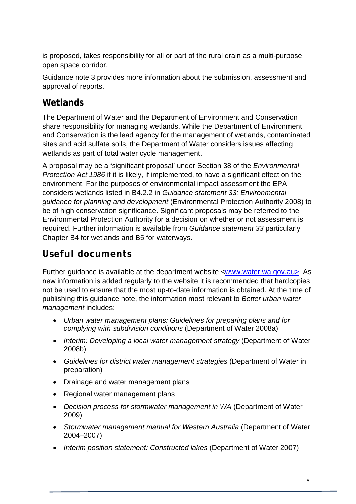is proposed, takes responsibility for all or part of the rural drain as a multi-purpose open space corridor.

Guidance note 3 provides more information about the submission, assessment and approval of reports.

# **Wetlands**

The Department of Water and the Department of Environment and Conservation share responsibility for managing wetlands. While the Department of Environment and Conservation is the lead agency for the management of wetlands, contaminated sites and acid sulfate soils, the Department of Water considers issues affecting wetlands as part of total water cycle management.

A proposal may be a 'significant proposal' under Section 38 of the *Environmental Protection Act 1986* if it is likely, if implemented, to have a significant effect on the environment. For the purposes of environmental impact assessment the EPA considers wetlands listed in B4.2.2 in *Guidance statement 33: Environmental guidance for planning and development* (Environmental Protection Authority 2008) to be of high conservation significance. Significant proposals may be referred to the Environmental Protection Authority for a decision on whether or not assessment is required. Further information is available from *Guidance statement 33* particularly Chapter B4 for wetlands and B5 for waterways.

# **Useful documents**

Further guidance is available at the department website <<u>www.water.wa.gov.au></u>. As new information is added regularly to the website it is recommended that hardcopies not be used to ensure that the most up-to-date information is obtained. At the time of publishing this guidance note, the information most relevant to *Better urban water management* includes:

- *Urban water management plans: Guidelines for preparing plans and for complying with subdivision conditions* (Department of Water 2008a)
- *Interim: Developing a local water management strategy* (Department of Water 2008b)
- *Guidelines for district water management strategies* (Department of Water in preparation)
- Drainage and water management plans
- Regional water management plans
- *Decision process for stormwater management in WA* (Department of Water 2009)
- *Stormwater management manual for Western Australia* (Department of Water 2004–2007)
- *Interim position statement: Constructed lakes* (Department of Water 2007)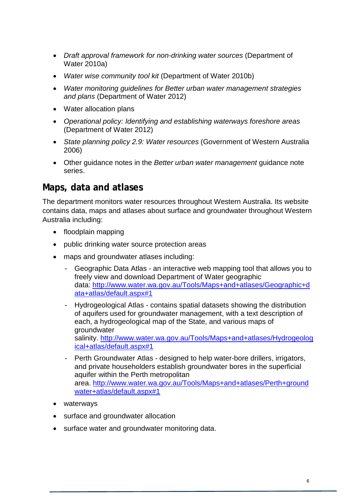- *Draft approval framework for non-drinking water sources* (Department of Water 2010a)
- *Water wise community tool kit* (Department of Water 2010b)
- *Water monitoring guidelines for Better urban water management strategies and plans* (Department of Water 2012)
- Water allocation plans
- *Operational policy: Identifying and establishing waterways foreshore areas* (Department of Water 2012)
- *State planning policy 2.9: Water resources* (Government of Western Australia 2006)
- Other guidance notes in the *Better urban water management* guidance note series.

#### **Maps, data and atlases**

The department monitors water resources throughout Western Australia. Its website contains data, maps and atlases about surface and groundwater throughout Western Australia including:

- floodplain mapping
- public drinking water source protection areas
- maps and groundwater atlases including:
	- Geographic Data Atlas an interactive web mapping tool that allows you to freely view and download Department of Water geographic data: [http://www.water.wa.gov.au/Tools/Maps+and+atlases/Geographic+d](http://www.water.wa.gov.au/Tools/Maps+and+atlases/Geographic+data+atlas/default.aspx#1) [ata+atlas/default.aspx#1](http://www.water.wa.gov.au/Tools/Maps+and+atlases/Geographic+data+atlas/default.aspx#1)
	- Hydrogeological Atlas contains spatial datasets showing the distribution of aquifers used for groundwater management, with a text description of each, a hydrogeological map of the State, and various maps of groundwater salinity. [http://www.water.wa.gov.au/Tools/Maps+and+atlases/Hydrogeolog](http://www.water.wa.gov.au/Tools/Maps+and+atlases/Hydrogeological+atlas/default.aspx#1) [ical+atlas/default.aspx#1](http://www.water.wa.gov.au/Tools/Maps+and+atlases/Hydrogeological+atlas/default.aspx#1)
	- Perth Groundwater Atlas designed to help water-bore drillers, irrigators, and private householders establish groundwater bores in the superficial aquifer within the Perth metropolitan area. [http://www.water.wa.gov.au/Tools/Maps+and+atlases/Perth+ground](http://www.water.wa.gov.au/Tools/Maps+and+atlases/Perth+groundwater+atlas/default.aspx#1) [water+atlas/default.aspx#1](http://www.water.wa.gov.au/Tools/Maps+and+atlases/Perth+groundwater+atlas/default.aspx#1)
- waterways
- surface and groundwater allocation
- surface water and groundwater monitoring data.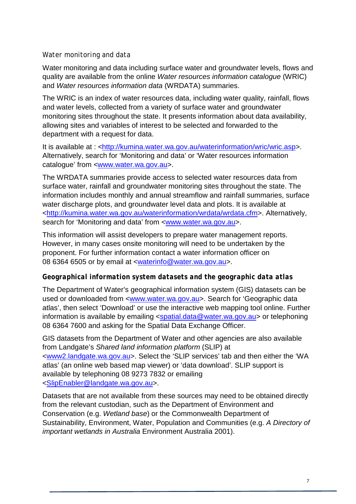#### *Water monitoring and data*

Water monitoring and data including surface water and groundwater levels, flows and quality are available from the online *Water resources information catalogue* (WRIC) and *Water resources information data* (WRDATA) summaries.

The WRIC is an index of water resources data, including water quality, rainfall, flows and water levels, collected from a variety of surface water and groundwater monitoring sites throughout the state. It presents information about data availability, allowing sites and variables of interest to be selected and forwarded to the department with a request for data.

It is available at : <http://kumina.water.wa.gov.au/waterinformation/wric/wric.asp>. Alternatively, search for 'Monitoring and data' or 'Water resources information catalogue' from [<www.water.wa.gov.au>](http://www.water.wa.gov.au/).

The WRDATA summaries provide access to selected water resources data from surface water, rainfall and groundwater monitoring sites throughout the state. The information includes monthly and annual streamflow and rainfall summaries, surface water discharge plots, and groundwater level data and plots. It is available at <http://kumina.water.wa.gov.au/waterinformation/wrdata/wrdata.cfm>. Alternatively, search for 'Monitoring and data' from [<www.water.wa.gov.au>](http://www.water.wa.gov.au/).

This information will assist developers to prepare water management reports. However, in many cases onsite monitoring will need to be undertaken by the proponent. For further information contact a water information officer on 08 6364 6505 or by email at [<waterinfo@water.wa.gov.au>](mailto:waterinfo@water.wa.gov.au).

#### *Geographical information system datasets and the geographic data atlas*

The Department of Water's geographical information system (GIS) datasets can be used or downloaded from [<www.water.wa.gov.au>](http://www.water.wa.gov.au/). Search for 'Geographic data atlas', then select 'Download' or use the interactive web mapping tool online. Further information is available by emailing [<spatial.data@water.wa.gov.au>](mailto:spatial.data@water.wa.gov.au) or telephoning 08 6364 7600 and asking for the Spatial Data Exchange Officer.

GIS datasets from the Department of Water and other agencies are also available from Landgate's *Shared land information platform* (SLIP) at [<www2.landgate.wa.gov.au>](https://www2.landgate.wa.gov.au/). Select the 'SLIP services' tab and then either the 'WA atlas' (an online web based map viewer) or 'data download'. SLIP support is available by telephoning 08 9273 7832 or emailing [<SlipEnabler@landgate.wa.gov.au>](mailto:SlipEnabler@landgate.wa.gov.au).

Datasets that are not available from these sources may need to be obtained directly from the relevant custodian, such as the Department of Environment and Conservation (e.g. *Wetland base*) or the Commonwealth Department of Sustainability, Environment, Water, Population and Communities (e.g. *A Directory of important wetlands in Australia* Environment Australia 2001).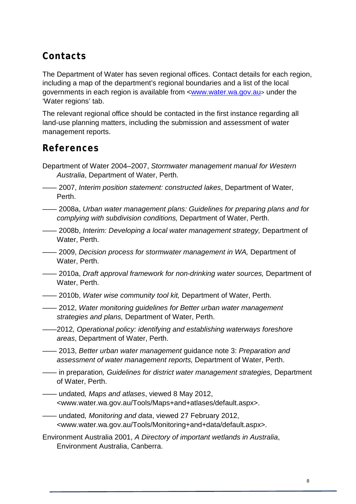# **Contacts**

The Department of Water has seven regional offices. Contact details for each region, including a map of the department's regional boundaries and a list of the local governments in each region is available from [<www.water.wa.gov.au>](http://www.water.wa.gov.au/) under the 'Water regions' tab.

The relevant regional office should be contacted in the first instance regarding all land-use planning matters, including the submission and assessment of water management reports.

#### **References**

- Department of Water 2004–2007, *Stormwater management manual for Western Australia*, Department of Water, Perth.
- —— 2007, *Interim position statement: constructed lakes*, Department of Water, Perth.
- —— 2008a, *Urban water management plans: Guidelines for preparing plans and for complying with subdivision conditions,* Department of Water, Perth.
- —— 2008b, *Interim: Developing a local water management strategy,* Department of Water, Perth.
- —— 2009, *Decision process for stormwater management in WA,* Department of Water, Perth.
- —— 2010a, *Draft approval framework for non-drinking water sources,* Department of Water, Perth.
- —— 2010b, *Water wise community tool kit,* Department of Water, Perth.
- —— 2012, *Water monitoring guidelines for Better urban water management strategies and plans,* Department of Water, Perth.
- ——2012*, Operational policy: identifying and establishing waterways foreshore areas*, Department of Water, Perth.
- —— 2013, *Better urban water management* guidance note 3: *Preparation and assessment of water management reports,* Department of Water, Perth.
- —— in preparation*, Guidelines for district water management strategies,* Department of Water, Perth.
- —— undated*, Maps and atlases*, viewed 8 May 2012, <www.water.wa.gov.au/Tools/Maps+and+atlases/default.aspx>.
- —— undated*, Monitoring and data*, viewed 27 February 2012, <www.water.wa.gov.au/Tools/Monitoring+and+data/default.aspx>.
- Environment Australia 2001, *A Directory of important wetlands in Australia*, Environment Australia, Canberra.